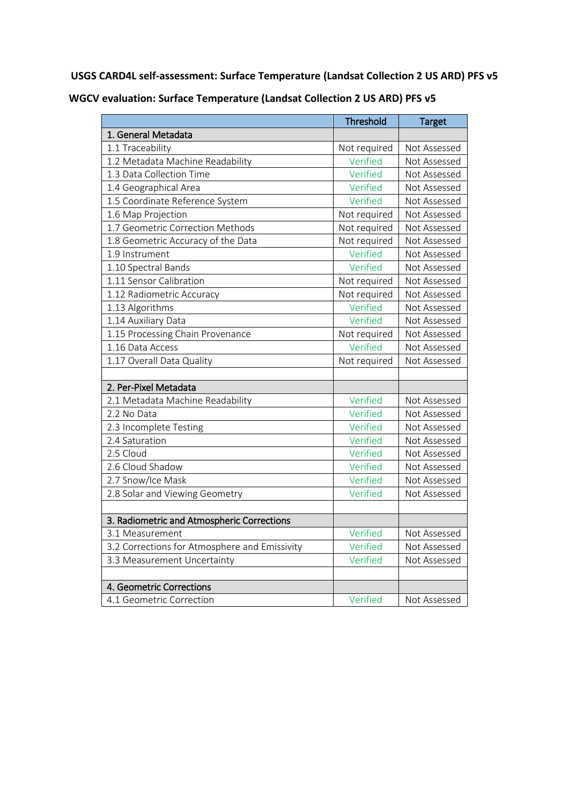**USGS CARD4L self-assessment: Surface Temperature (Landsat Collection 2 US ARD) PFS v5**

|                                               | Threshold    | <b>Target</b> |
|-----------------------------------------------|--------------|---------------|
| 1. General Metadata                           |              |               |
| 1.1 Traceability                              | Not required | Not Assessed  |
| 1.2 Metadata Machine Readability              | Verified     | Not Assessed  |
| 1.3 Data Collection Time                      | Verified     | Not Assessed  |
| 1.4 Geographical Area                         | Verified     | Not Assessed  |
| 1.5 Coordinate Reference System               | Verified     | Not Assessed  |
| 1.6 Map Projection                            | Not required | Not Assessed  |
| 1.7 Geometric Correction Methods              | Not required | Not Assessed  |
| 1.8 Geometric Accuracy of the Data            | Not required | Not Assessed  |
| 1.9 Instrument                                | Verified     | Not Assessed  |
| 1.10 Spectral Bands                           | Verified     | Not Assessed  |
| 1.11 Sensor Calibration                       | Not required | Not Assessed  |
| 1.12 Radiometric Accuracy                     | Not required | Not Assessed  |
| 1.13 Algorithms                               | Verified     | Not Assessed  |
| 1.14 Auxiliary Data                           | Verified     | Not Assessed  |
| 1.15 Processing Chain Provenance              | Not required | Not Assessed  |
| 1.16 Data Access                              | Verified     | Not Assessed  |
| 1.17 Overall Data Quality                     | Not required | Not Assessed  |
|                                               |              |               |
| 2. Per-Pixel Metadata                         |              |               |
| 2.1 Metadata Machine Readability              | Verified     | Not Assessed  |
| 2.2 No Data                                   | Verified     | Not Assessed  |
| 2.3 Incomplete Testing                        | Verified     | Not Assessed  |
| 2.4 Saturation                                | Verified     | Not Assessed  |
| 2.5 Cloud                                     | Verified     | Not Assessed  |
| 2.6 Cloud Shadow                              | Verified     | Not Assessed  |
| 2.7 Snow/Ice Mask                             | Verified     | Not Assessed  |
| 2.8 Solar and Viewing Geometry                | Verified     | Not Assessed  |
|                                               |              |               |
| 3. Radiometric and Atmospheric Corrections    |              |               |
| 3.1 Measurement                               | Verified     | Not Assessed  |
| 3.2 Corrections for Atmosphere and Emissivity | Verified     | Not Assessed  |
| 3.3 Measurement Uncertainty                   | Verified     | Not Assessed  |
|                                               |              |               |
| 4. Geometric Corrections                      |              |               |
| 4.1 Geometric Correction                      | Verified     | Not Assessed  |

**WGCV evaluation: Surface Temperature (Landsat Collection 2 US ARD) PFS v5**